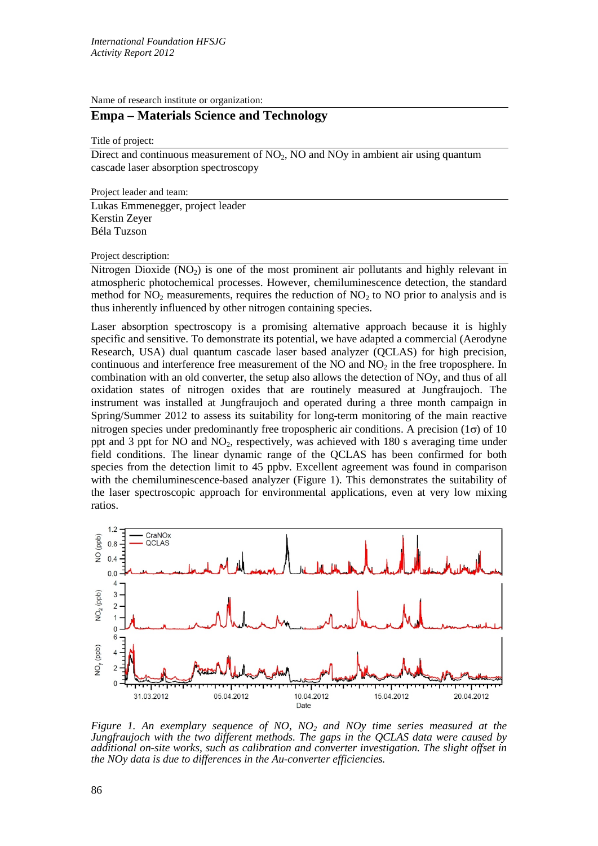Name of research institute or organization:

## **Empa – Materials Science and Technology**

Title of project:

Direct and continuous measurement of  $NO<sub>2</sub>$ , NO and NO<sub>y</sub> in ambient air using quantum cascade laser absorption spectroscopy

Project leader and team:

Lukas Emmenegger, project leader Kerstin Zeyer Béla Tuzson

Project description:

Nitrogen Dioxide  $(NO<sub>2</sub>)$  is one of the most prominent air pollutants and highly relevant in atmospheric photochemical processes. However, chemiluminescence detection, the standard method for  $NO<sub>2</sub>$  measurements, requires the reduction of  $NO<sub>2</sub>$  to  $NO$  prior to analysis and is thus inherently influenced by other nitrogen containing species.

Laser absorption spectroscopy is a promising alternative approach because it is highly specific and sensitive. To demonstrate its potential, we have adapted a commercial (Aerodyne Research, USA) dual quantum cascade laser based analyzer (QCLAS) for high precision, continuous and interference free measurement of the NO and  $NO<sub>2</sub>$  in the free troposphere. In combination with an old converter, the setup also allows the detection of NOy, and thus of all oxidation states of nitrogen oxides that are routinely measured at Jungfraujoch. The instrument was installed at Jungfraujoch and operated during a three month campaign in Spring/Summer 2012 to assess its suitability for long-term monitoring of the main reactive nitrogen species under predominantly free tropospheric air conditions. A precision  $(1\sigma)$  of 10 ppt and 3 ppt for NO and  $NO<sub>2</sub>$ , respectively, was achieved with 180 s averaging time under field conditions. The linear dynamic range of the QCLAS has been confirmed for both species from the detection limit to 45 ppbv. Excellent agreement was found in comparison with the chemiluminescence-based analyzer (Figure 1). This demonstrates the suitability of the laser spectroscopic approach for environmental applications, even at very low mixing ratios.



*Figure 1. An exemplary sequence of NO, NO2 and NOy time series measured at the Jungfraujoch with the two different methods. The gaps in the QCLAS data were caused by additional on-site works, such as calibration and converter investigation. The slight offset in the NOy data is due to differences in the Au-converter efficiencies.*